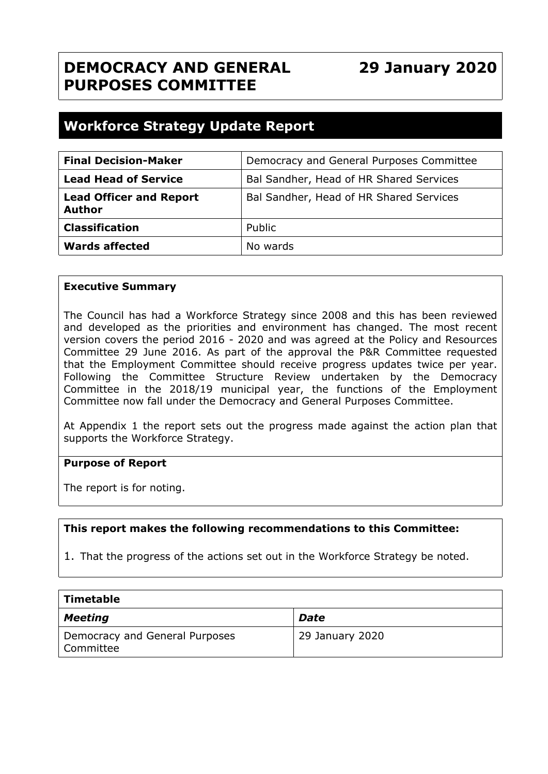## **DEMOCRACY AND GENERAL PURPOSES COMMITTEE**

**29 January 2020**

## **Workforce Strategy Update Report**

| <b>Final Decision-Maker</b>                     | Democracy and General Purposes Committee |
|-------------------------------------------------|------------------------------------------|
| <b>Lead Head of Service</b>                     | Bal Sandher, Head of HR Shared Services  |
| <b>Lead Officer and Report</b><br><b>Author</b> | Bal Sandher, Head of HR Shared Services  |
| <b>Classification</b>                           | Public                                   |
| <b>Wards affected</b>                           | No wards                                 |

#### **Executive Summary**

The Council has had a Workforce Strategy since 2008 and this has been reviewed and developed as the priorities and environment has changed. The most recent version covers the period 2016 - 2020 and was agreed at the Policy and Resources Committee 29 June 2016. As part of the approval the P&R Committee requested that the Employment Committee should receive progress updates twice per year. Following the Committee Structure Review undertaken by the Democracy Committee in the 2018/19 municipal year, the functions of the Employment Committee now fall under the Democracy and General Purposes Committee.

At Appendix 1 the report sets out the progress made against the action plan that supports the Workforce Strategy.

#### **Purpose of Report**

The report is for noting.

#### **This report makes the following recommendations to this Committee:**

1. That the progress of the actions set out in the Workforce Strategy be noted.

| Timetable                                   |                 |
|---------------------------------------------|-----------------|
| $\vert$ Meeting                             | <b>Date</b>     |
| Democracy and General Purposes<br>Committee | 29 January 2020 |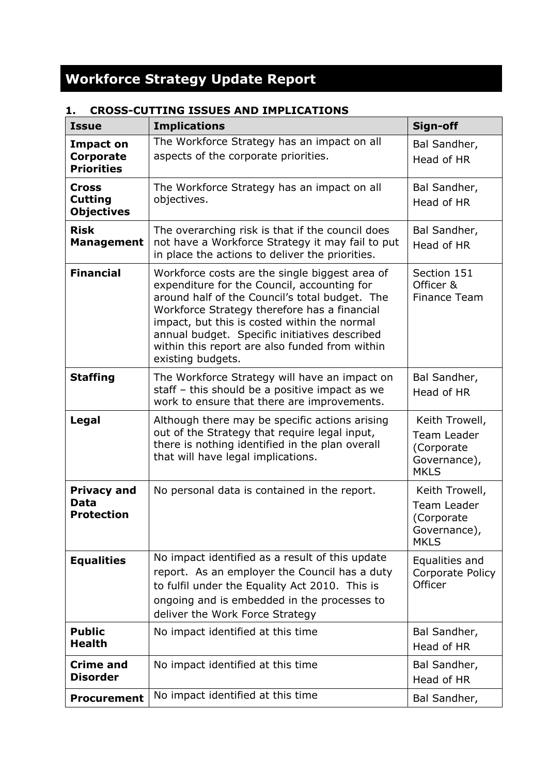# **Workforce Strategy Update Report**

| <b>Issue</b>                                           | <b>Implications</b>                                                                                                                                                                                                                                                                                                                                                     | Sign-off                                                                   |
|--------------------------------------------------------|-------------------------------------------------------------------------------------------------------------------------------------------------------------------------------------------------------------------------------------------------------------------------------------------------------------------------------------------------------------------------|----------------------------------------------------------------------------|
| <b>Impact on</b><br>Corporate<br><b>Priorities</b>     | The Workforce Strategy has an impact on all<br>aspects of the corporate priorities.                                                                                                                                                                                                                                                                                     | Bal Sandher,<br>Head of HR                                                 |
| <b>Cross</b><br><b>Cutting</b><br><b>Objectives</b>    | The Workforce Strategy has an impact on all<br>objectives.                                                                                                                                                                                                                                                                                                              | Bal Sandher,<br>Head of HR                                                 |
| <b>Risk</b><br><b>Management</b>                       | The overarching risk is that if the council does<br>not have a Workforce Strategy it may fail to put<br>in place the actions to deliver the priorities.                                                                                                                                                                                                                 | Bal Sandher,<br>Head of HR                                                 |
| <b>Financial</b>                                       | Workforce costs are the single biggest area of<br>expenditure for the Council, accounting for<br>around half of the Council's total budget. The<br>Workforce Strategy therefore has a financial<br>impact, but this is costed within the normal<br>annual budget. Specific initiatives described<br>within this report are also funded from within<br>existing budgets. | Section 151<br>Officer &<br>Finance Team                                   |
| <b>Staffing</b>                                        | The Workforce Strategy will have an impact on<br>staff - this should be a positive impact as we<br>work to ensure that there are improvements.                                                                                                                                                                                                                          | Bal Sandher,<br>Head of HR                                                 |
| Legal                                                  | Although there may be specific actions arising<br>out of the Strategy that require legal input,<br>there is nothing identified in the plan overall<br>that will have legal implications.                                                                                                                                                                                | Keith Trowell,<br>Team Leader<br>(Corporate<br>Governance),<br><b>MKLS</b> |
| <b>Privacy and</b><br><b>Data</b><br><b>Protection</b> | No personal data is contained in the report.                                                                                                                                                                                                                                                                                                                            | Keith Trowell,<br>Team Leader<br>(Corporate<br>Governance),<br><b>MKLS</b> |
| <b>Equalities</b>                                      | No impact identified as a result of this update<br>report. As an employer the Council has a duty<br>to fulfil under the Equality Act 2010. This is<br>ongoing and is embedded in the processes to<br>deliver the Work Force Strategy                                                                                                                                    | Equalities and<br>Corporate Policy<br>Officer                              |
| <b>Public</b><br><b>Health</b>                         | No impact identified at this time                                                                                                                                                                                                                                                                                                                                       | Bal Sandher,<br>Head of HR                                                 |
| <b>Crime and</b><br><b>Disorder</b>                    | No impact identified at this time                                                                                                                                                                                                                                                                                                                                       | Bal Sandher,<br>Head of HR                                                 |
| <b>Procurement</b>                                     | No impact identified at this time                                                                                                                                                                                                                                                                                                                                       | Bal Sandher,                                                               |

### **1. CROSS-CUTTING ISSUES AND IMPLICATIONS**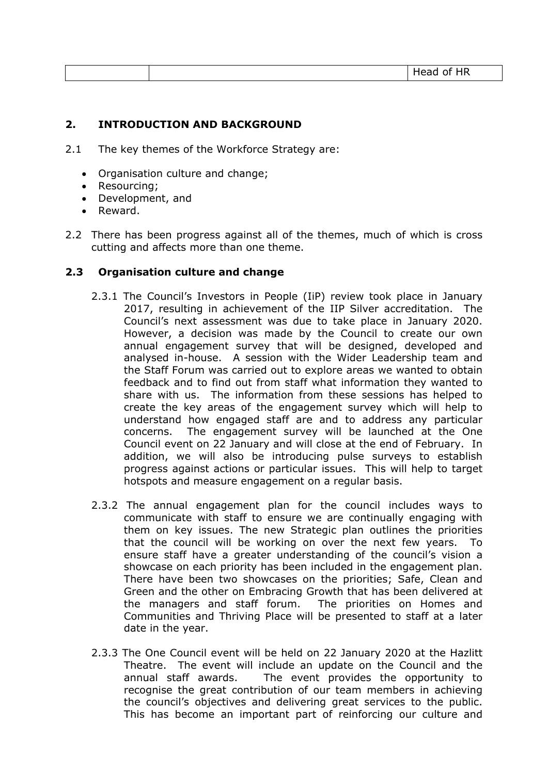| $\sim$ $\sim$<br>__ | шp<br>--<br>_ |
|---------------------|---------------|
|---------------------|---------------|

#### **2. INTRODUCTION AND BACKGROUND**

- 2.1 The key themes of the Workforce Strategy are:
	- Organisation culture and change;
	- Resourcing;
	- Development, and
	- Reward.
- 2.2 There has been progress against all of the themes, much of which is cross cutting and affects more than one theme.

#### **2.3 Organisation culture and change**

- 2.3.1 The Council's Investors in People (IiP) review took place in January 2017, resulting in achievement of the IIP Silver accreditation. The Council's next assessment was due to take place in January 2020. However, a decision was made by the Council to create our own annual engagement survey that will be designed, developed and analysed in-house. A session with the Wider Leadership team and the Staff Forum was carried out to explore areas we wanted to obtain feedback and to find out from staff what information they wanted to share with us. The information from these sessions has helped to create the key areas of the engagement survey which will help to understand how engaged staff are and to address any particular concerns. The engagement survey will be launched at the One Council event on 22 January and will close at the end of February. In addition, we will also be introducing pulse surveys to establish progress against actions or particular issues. This will help to target hotspots and measure engagement on a regular basis.
- 2.3.2 The annual engagement plan for the council includes ways to communicate with staff to ensure we are continually engaging with them on key issues. The new Strategic plan outlines the priorities that the council will be working on over the next few years. To ensure staff have a greater understanding of the council's vision a showcase on each priority has been included in the engagement plan. There have been two showcases on the priorities; Safe, Clean and Green and the other on Embracing Growth that has been delivered at the managers and staff forum. The priorities on Homes and Communities and Thriving Place will be presented to staff at a later date in the year.
- 2.3.3 The One Council event will be held on 22 January 2020 at the Hazlitt Theatre. The event will include an update on the Council and the annual staff awards. The event provides the opportunity to recognise the great contribution of our team members in achieving the council's objectives and delivering great services to the public. This has become an important part of reinforcing our culture and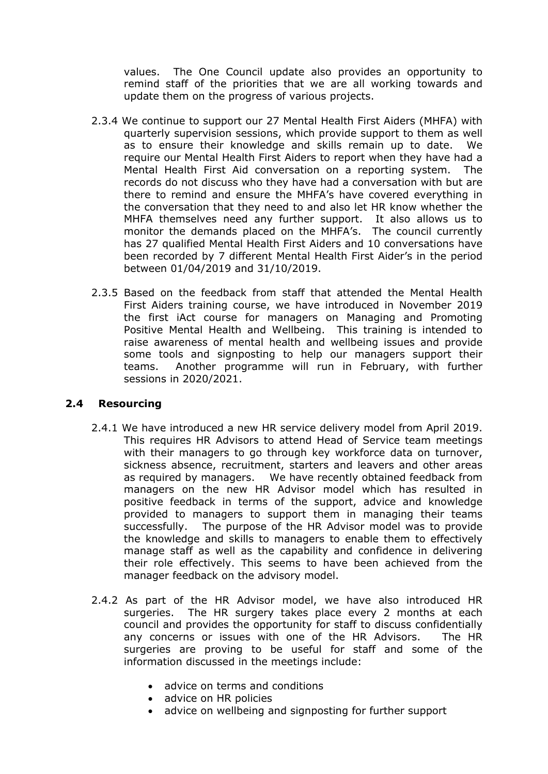values. The One Council update also provides an opportunity to remind staff of the priorities that we are all working towards and update them on the progress of various projects.

- 2.3.4 We continue to support our 27 Mental Health First Aiders (MHFA) with quarterly supervision sessions, which provide support to them as well as to ensure their knowledge and skills remain up to date. We require our Mental Health First Aiders to report when they have had a Mental Health First Aid conversation on a reporting system. The records do not discuss who they have had a conversation with but are there to remind and ensure the MHFA's have covered everything in the conversation that they need to and also let HR know whether the MHFA themselves need any further support. It also allows us to monitor the demands placed on the MHFA's. The council currently has 27 qualified Mental Health First Aiders and 10 conversations have been recorded by 7 different Mental Health First Aider's in the period between 01/04/2019 and 31/10/2019.
- 2.3.5 Based on the feedback from staff that attended the Mental Health First Aiders training course, we have introduced in November 2019 the first iAct course for managers on Managing and Promoting Positive Mental Health and Wellbeing. This training is intended to raise awareness of mental health and wellbeing issues and provide some tools and signposting to help our managers support their teams. Another programme will run in February, with further sessions in 2020/2021.

#### **2.4 Resourcing**

- 2.4.1 We have introduced a new HR service delivery model from April 2019. This requires HR Advisors to attend Head of Service team meetings with their managers to go through key workforce data on turnover, sickness absence, recruitment, starters and leavers and other areas as required by managers. We have recently obtained feedback from managers on the new HR Advisor model which has resulted in positive feedback in terms of the support, advice and knowledge provided to managers to support them in managing their teams successfully. The purpose of the HR Advisor model was to provide the knowledge and skills to managers to enable them to effectively manage staff as well as the capability and confidence in delivering their role effectively. This seems to have been achieved from the manager feedback on the advisory model.
- 2.4.2 As part of the HR Advisor model, we have also introduced HR surgeries. The HR surgery takes place every 2 months at each council and provides the opportunity for staff to discuss confidentially any concerns or issues with one of the HR Advisors. The HR surgeries are proving to be useful for staff and some of the information discussed in the meetings include:
	- advice on terms and conditions
	- advice on HR policies
	- advice on wellbeing and signposting for further support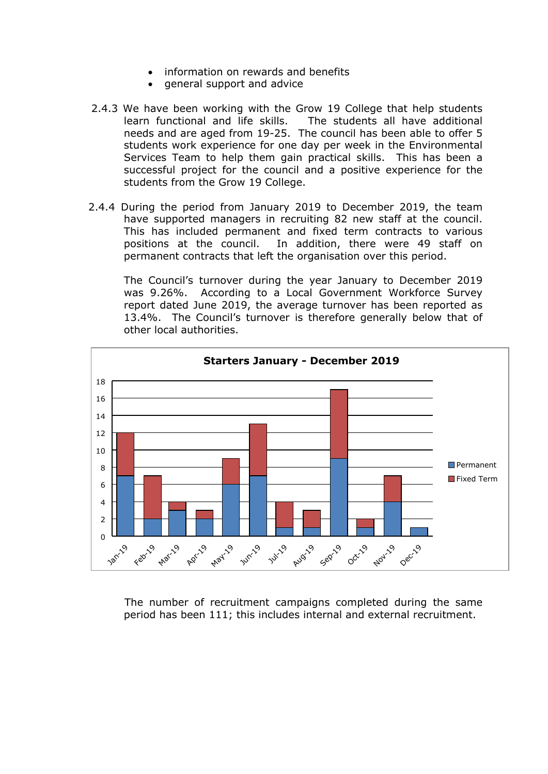- information on rewards and benefits
- general support and advice
- 2.4.3 We have been working with the Grow 19 College that help students learn functional and life skills. The students all have additional needs and are aged from 19-25. The council has been able to offer 5 students work experience for one day per week in the Environmental Services Team to help them gain practical skills. This has been a successful project for the council and a positive experience for the students from the Grow 19 College.
- 2.4.4 During the period from January 2019 to December 2019, the team have supported managers in recruiting 82 new staff at the council. This has included permanent and fixed term contracts to various positions at the council. In addition, there were 49 staff on permanent contracts that left the organisation over this period.

The Council's turnover during the year January to December 2019 was 9.26%. According to a Local Government Workforce Survey report dated June 2019, the average turnover has been reported as 13.4%. The Council's turnover is therefore generally below that of other local authorities.



 The number of recruitment campaigns completed during the same period has been 111; this includes internal and external recruitment.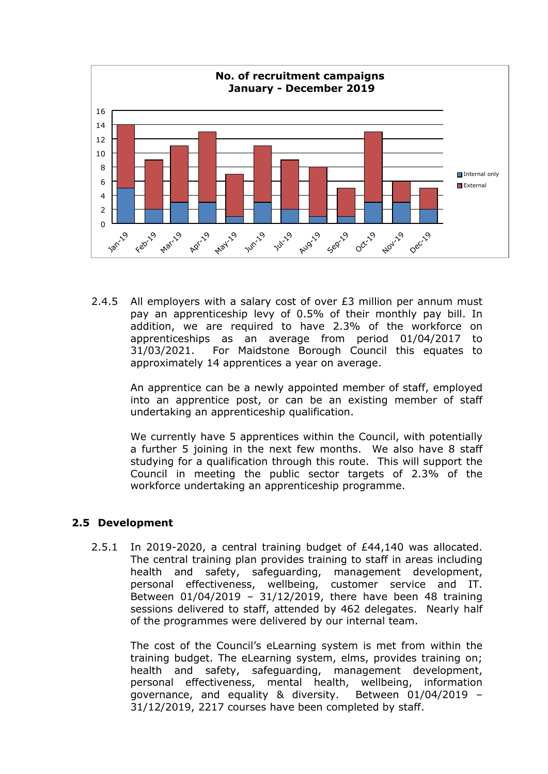

2.4.5 All employers with a salary cost of over  $E3$  million per annum must pay an apprenticeship levy of 0.5% of their monthly pay bill. In addition, we are required to have 2.3% of the workforce on apprenticeships as an average from period 01/04/2017 to 31/03/2021. For Maidstone Borough Council this equates to approximately 14 apprentices a year on average.

An apprentice can be a newly appointed member of staff, employed into an apprentice post, or can be an existing member of staff undertaking an apprenticeship qualification.

We currently have 5 apprentices within the Council, with potentially a further 5 joining in the next few months. We also have 8 staff studying for a qualification through this route. This will support the Council in meeting the public sector targets of 2.3% of the workforce undertaking an apprenticeship programme.

#### **2.5 Development**

2.5.1 In 2019-2020, a central training budget of £44,140 was allocated. The central training plan provides training to staff in areas including health and safety, safeguarding, management development, personal effectiveness, wellbeing, customer service and IT. Between 01/04/2019 – 31/12/2019, there have been 48 training sessions delivered to staff, attended by 462 delegates. Nearly half of the programmes were delivered by our internal team.

The cost of the Council's eLearning system is met from within the training budget. The eLearning system, elms, provides training on; health and safety, safeguarding, management development, personal effectiveness, mental health, wellbeing, information governance, and equality & diversity. Between 01/04/2019 – 31/12/2019, 2217 courses have been completed by staff.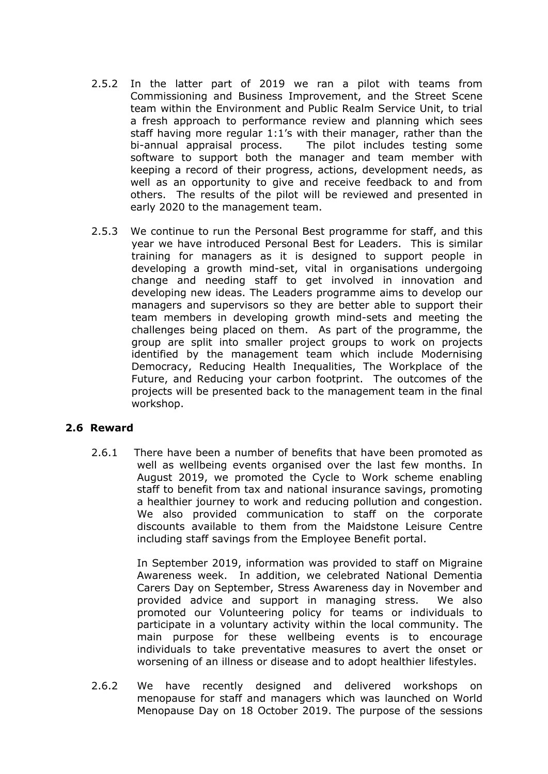- 2.5.2 In the latter part of 2019 we ran a pilot with teams from Commissioning and Business Improvement, and the Street Scene team within the Environment and Public Realm Service Unit, to trial a fresh approach to performance review and planning which sees staff having more regular 1:1's with their manager, rather than the bi-annual appraisal process. The pilot includes testing some software to support both the manager and team member with keeping a record of their progress, actions, development needs, as well as an opportunity to give and receive feedback to and from others. The results of the pilot will be reviewed and presented in early 2020 to the management team.
- 2.5.3 We continue to run the Personal Best programme for staff, and this year we have introduced Personal Best for Leaders. This is similar training for managers as it is designed to support people in developing a growth mind-set, vital in organisations undergoing change and needing staff to get involved in innovation and developing new ideas. The Leaders programme aims to develop our managers and supervisors so they are better able to support their team members in developing growth mind-sets and meeting the challenges being placed on them. As part of the programme, the group are split into smaller project groups to work on projects identified by the management team which include Modernising Democracy, Reducing Health Inequalities, The Workplace of the Future, and Reducing your carbon footprint. The outcomes of the projects will be presented back to the management team in the final workshop.

#### **2.6 Reward**

2.6.1 There have been a number of benefits that have been promoted as well as wellbeing events organised over the last few months. In August 2019, we promoted the Cycle to Work scheme enabling staff to benefit from tax and national insurance savings, promoting a healthier journey to work and reducing pollution and congestion. We also provided communication to staff on the corporate discounts available to them from the Maidstone Leisure Centre including staff savings from the Employee Benefit portal.

> In September 2019, information was provided to staff on Migraine Awareness week. In addition, we celebrated National Dementia Carers Day on September, Stress Awareness day in November and provided advice and support in managing stress. We also promoted our Volunteering policy for teams or individuals to participate in a voluntary activity within the local community. The main purpose for these wellbeing events is to encourage individuals to take preventative measures to avert the onset or worsening of an illness or disease and to adopt healthier lifestyles.

2.6.2 We have recently designed and delivered workshops on menopause for staff and managers which was launched on World Menopause Day on 18 October 2019. The purpose of the sessions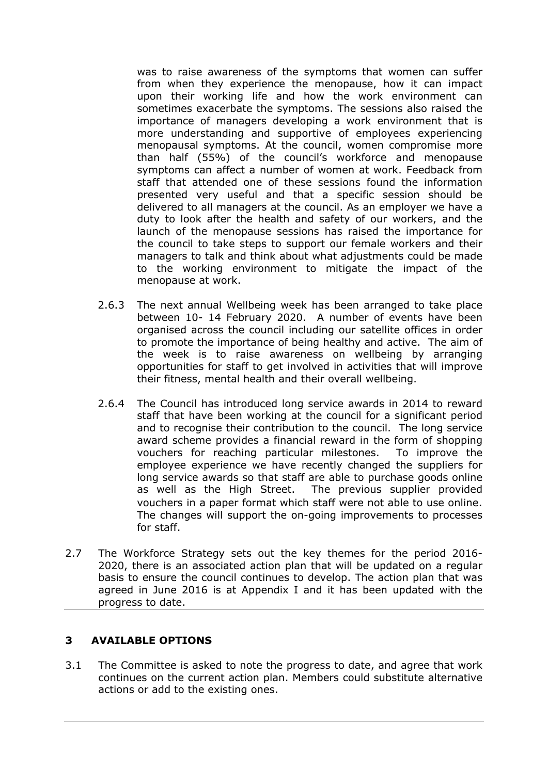was to raise awareness of the symptoms that women can suffer from when they experience the menopause, how it can impact upon their working life and how the work environment can sometimes exacerbate the symptoms. The sessions also raised the importance of managers developing a work environment that is more understanding and supportive of employees experiencing menopausal symptoms. At the council, women compromise more than half (55%) of the council's workforce and menopause symptoms can affect a number of women at work. Feedback from staff that attended one of these sessions found the information presented very useful and that a specific session should be delivered to all managers at the council. As an employer we have a duty to look after the health and safety of our workers, and the launch of the menopause sessions has raised the importance for the council to take steps to support our female workers and their managers to talk and think about what adjustments could be made to the working environment to mitigate the impact of the menopause at work.

- 2.6.3 The next annual Wellbeing week has been arranged to take place between 10- 14 February 2020. A number of events have been organised across the council including our satellite offices in order to promote the importance of being healthy and active. The aim of the week is to raise awareness on wellbeing by arranging opportunities for staff to get involved in activities that will improve their fitness, mental health and their overall wellbeing.
- 2.6.4 The Council has introduced long service awards in 2014 to reward staff that have been working at the council for a significant period and to recognise their contribution to the council. The long service award scheme provides a financial reward in the form of shopping vouchers for reaching particular milestones. To improve the employee experience we have recently changed the suppliers for long service awards so that staff are able to purchase goods online as well as the High Street. The previous supplier provided vouchers in a paper format which staff were not able to use online. The changes will support the on-going improvements to processes for staff.
- 2.7 The Workforce Strategy sets out the key themes for the period 2016- 2020, there is an associated action plan that will be updated on a regular basis to ensure the council continues to develop. The action plan that was agreed in June 2016 is at Appendix I and it has been updated with the progress to date.

#### **3 AVAILABLE OPTIONS**

3.1 The Committee is asked to note the progress to date, and agree that work continues on the current action plan. Members could substitute alternative actions or add to the existing ones.